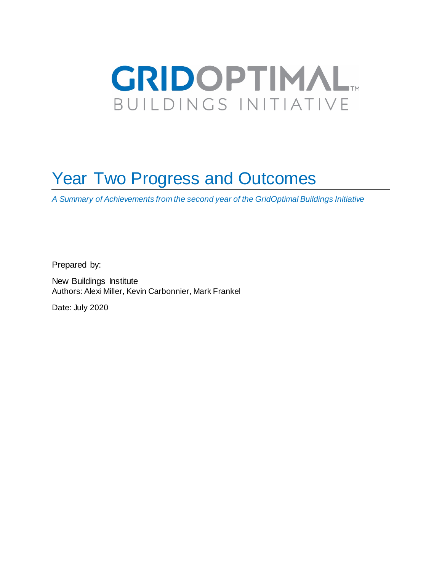

# Year Two Progress and Outcomes

*A Summary of Achievements from the second year of the GridOptimal Buildings Initiative*

Prepared by:

New Buildings Institute Authors: Alexi Miller, Kevin Carbonnier, Mark Frankel

Date: July 2020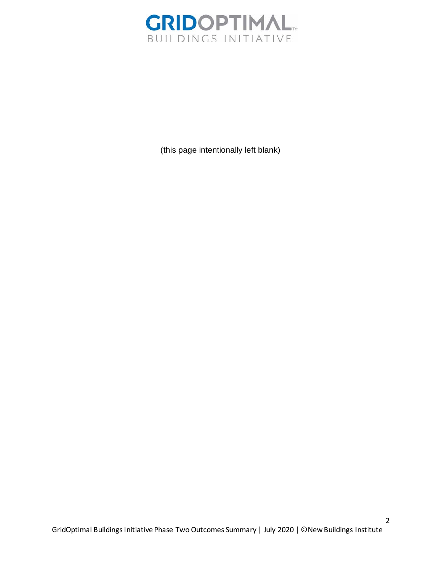

(this page intentionally left blank)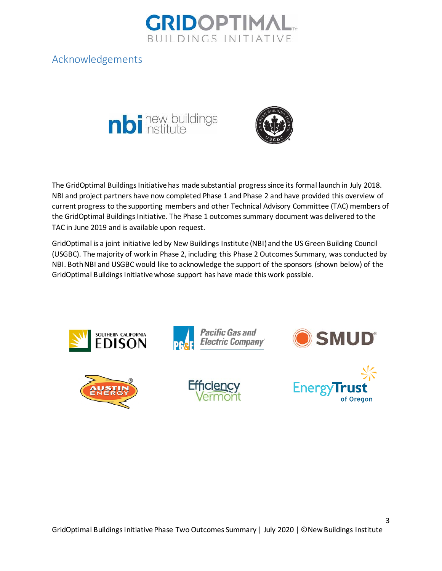

### <span id="page-2-0"></span>Acknowledgements





The GridOptimal Buildings Initiative has made substantial progress since its formal launch in July 2018. NBI and project partners have now completed Phase 1 and Phase 2 and have provided this overview of current progress to the supporting members and other Technical Advisory Committee (TAC) members of the GridOptimal Buildings Initiative. The Phase 1 outcomes summary document was delivered to the TAC in June 2019 and is available upon request.

GridOptimal is a joint initiative led by New Buildings Institute (NBI) and the US Green Building Council (USGBC). The majority of work in Phase 2, including this Phase 2 Outcomes Summary, was conducted by NBI. Both NBI and USGBC would like to acknowledge the support of the sponsors (shown below) of the GridOptimal Buildings Initiative whose support has have made this work possible.

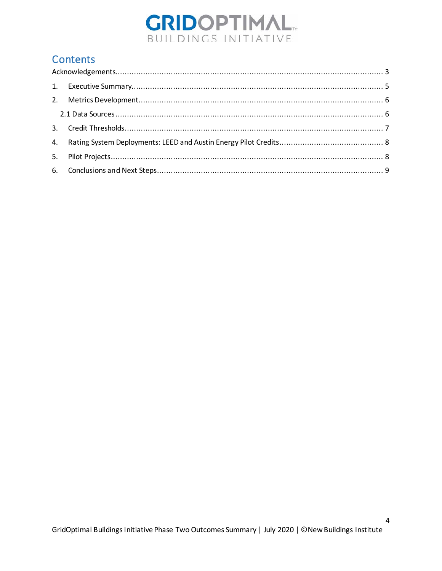## **GRIDOPTIMAL.** BUILDINGS INITIATIVE

## **Contents**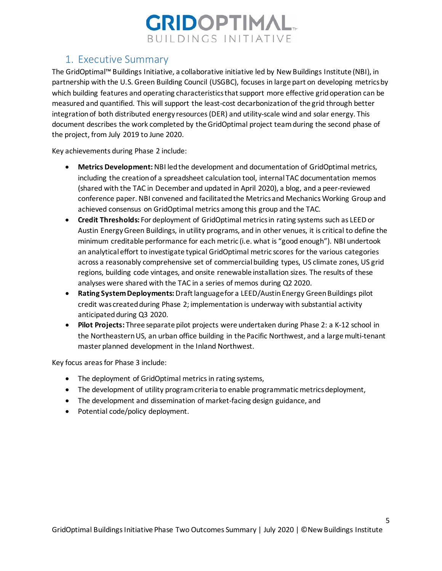

#### <span id="page-4-0"></span>1. Executive Summary

The GridOptimal™ Buildings Initiative, a collaborative initiative led by New Buildings Institute (NBI), in partnership with the U.S. Green Building Council (USGBC), focuses in large part on developing metrics by which building features and operating characteristics that support more effective grid operation can be measured and quantified. This will support the least-cost decarbonization of the grid through better integration of both distributed energy resources (DER) and utility-scale wind and solar energy. This document describes the work completed by the GridOptimal project team during the second phase of the project, from July 2019 to June 2020.

Key achievements during Phase 2 include:

- **Metrics Development:**NBI led the development and documentation of GridOptimal metrics, including the creation of a spreadsheet calculation tool, internal TAC documentation memos (shared with the TAC in December and updated in April 2020), a blog, and a peer-reviewed conference paper. NBI convened and facilitated the Metrics and Mechanics Working Group and achieved consensus on GridOptimal metrics among this group and the TAC.
- **Credit Thresholds:** For deployment of GridOptimal metrics in rating systems such as LEED or Austin Energy Green Buildings, in utility programs, and in other venues, it is critical to define the minimum creditable performance for each metric (i.e. what is "good enough"). NBI undertook an analytical effort to investigate typical GridOptimal metric scores for the various categories across a reasonably comprehensive set of commercial building types, US climate zones, US grid regions, building code vintages, and onsite renewable installation sizes. The results of these analyses were shared with the TAC in a series of memos during Q2 2020.
- **Rating System Deployments:**Draftlanguage for a LEED/Austin Energy Green Buildings pilot credit was created during Phase 2; implementation is underway with substantial activity anticipated during Q3 2020.
- **Pilot Projects:** Three separate pilot projects were undertaken during Phase 2: a K-12 school in the Northeastern US, an urban office building in the Pacific Northwest, and a large multi-tenant master planned development in the Inland Northwest.

Key focus areas for Phase 3 include:

- The deployment of GridOptimal metrics in rating systems,
- The development of utility program criteria to enable programmatic metrics deployment,
- The development and dissemination of market-facing design guidance, and
- Potential code/policy deployment.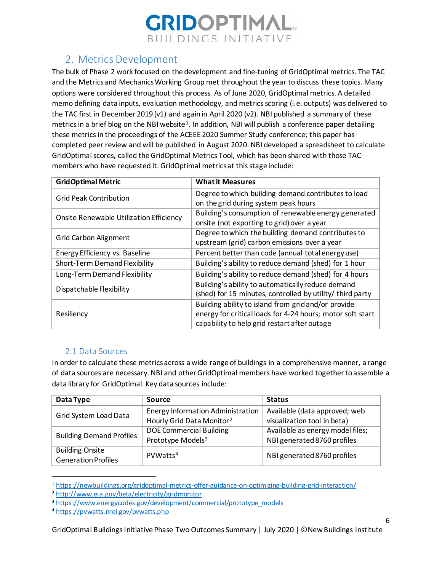

### <span id="page-5-0"></span>2. Metrics Development

The bulk of Phase 2 work focused on the development and fine-tuning of GridOptimal metrics. The TAC and the Metrics and Mechanics Working Group met throughout the year to discuss these topics. Many options were considered throughout this process. As of June 2020, GridOptimal metrics. A detailed memo defining data inputs, evaluation methodology, and metrics scoring (i.e. outputs) was delivered to the TAC first in December 2019 (v1) and again in April 2020 (v2). NBI published a summary of these metrics in a brief blog on the NBI website<sup>[1](#page-5-2)</sup>. In addition, NBI will publish a conference paper detailing these metrics in the proceedings of the ACEEE 2020 Summer Study conference; this paper has completed peer review and will be published in August 2020. NBI developed a spreadsheet to calculate GridOptimal scores, called the GridOptimal Metrics Tool, which has been shared with those TAC members who have requested it. GridOptimal metrics at this stage include:

| <b>GridOptimal Metric</b>                      | <b>What it Measures</b>                                    |  |
|------------------------------------------------|------------------------------------------------------------|--|
| <b>Grid Peak Contribution</b>                  | Degree to which building demand contributes to load        |  |
|                                                | on the grid during system peak hours                       |  |
| <b>Onsite Renewable Utilization Efficiency</b> | Building's consumption of renewable energy generated       |  |
|                                                | onsite (not exporting to grid) over a year                 |  |
| <b>Grid Carbon Alignment</b>                   | Degree to which the building demand contributes to         |  |
|                                                | upstream (grid) carbon emissions over a year               |  |
| Energy Efficiency vs. Baseline                 | Percent better than code (annual total energy use)         |  |
| Short-Term Demand Flexibility                  | Building's ability to reduce demand (shed) for 1 hour      |  |
| Long-Term Demand Flexibility                   | Building's ability to reduce demand (shed) for 4 hours     |  |
| Dispatchable Flexibility                       | Building's ability to automatically reduce demand          |  |
|                                                | (shed) for 15 minutes, controlled by utility/ third party  |  |
|                                                | Building ability to island from grid and/or provide        |  |
| Resiliency                                     | energy for critical loads for 4-24 hours; motor soft start |  |
|                                                | capability to help grid restart after outage               |  |

#### <span id="page-5-1"></span>2.1 Data Sources

In order to calculate these metrics across a wide range of buildings in a comprehensive manner, a range of data sources are necessary. NBI and other GridOptimal members have worked together to assemble a data library for GridOptimal. Key data sources include:

| Data Type                       | Source                                   | <b>Status</b>                    |
|---------------------------------|------------------------------------------|----------------------------------|
| Grid System Load Data           | <b>Energy Information Administration</b> | Available (data approved; web    |
|                                 | Hourly Grid Data Monitor <sup>2</sup>    | visualization tool in beta)      |
| <b>Building Demand Profiles</b> | <b>DOE Commercial Building</b>           | Available as energy model files; |
|                                 | Prototype Models <sup>3</sup>            | NBI generated 8760 profiles      |
| <b>Building Onsite</b>          | PVWatts <sup>4</sup>                     | NBI generated 8760 profiles      |
| <b>Generation Profiles</b>      |                                          |                                  |

<span id="page-5-2"></span>1 <https://newbuildings.org/gridoptimal-metrics-offer-guidance-on-optimizing-building-grid-interaction/>

<span id="page-5-3"></span><sup>2</sup> <http://www.eia.gov/beta/electricity/gridmonitor>

<span id="page-5-4"></span><sup>3</sup> [https://www.energycodes.gov/development/commercial/prototype\\_models](https://www.energycodes.gov/development/commercial/prototype_models)

<span id="page-5-5"></span><sup>4</sup> <https://pvwatts.nrel.gov/pvwatts.php>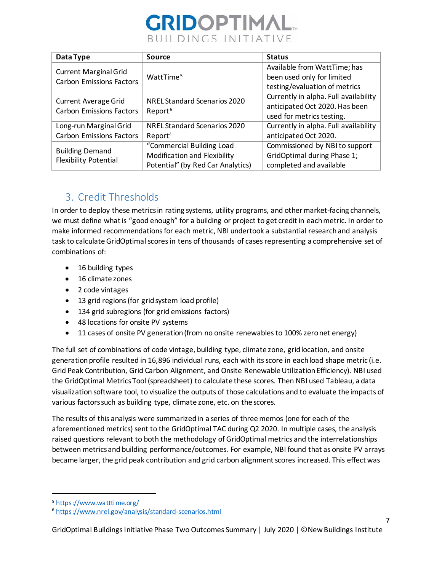## **GRIDOPTIMAL** BUILDINGS INITIATIVE

| Data Type                       | Source                                              | <b>Status</b>                         |
|---------------------------------|-----------------------------------------------------|---------------------------------------|
| <b>Current Marginal Grid</b>    | WattTime <sup>5</sup>                               | Available from WattTime; has          |
| <b>Carbon Emissions Factors</b> |                                                     | been used only for limited            |
|                                 |                                                     | testing/evaluation of metrics         |
| <b>Current Average Grid</b>     | NREL Standard Scenarios 2020<br>Report <sup>6</sup> | Currently in alpha. Full availability |
| <b>Carbon Emissions Factors</b> |                                                     | anticipated Oct 2020. Has been        |
|                                 |                                                     | used for metrics testing.             |
| Long-run Marginal Grid          | <b>NREL Standard Scenarios 2020</b>                 | Currently in alpha. Full availability |
| <b>Carbon Emissions Factors</b> | Report <sup>4</sup>                                 | anticipated Oct 2020.                 |
| <b>Building Demand</b>          | "Commercial Building Load                           | Commissioned by NBI to support        |
| <b>Flexibility Potential</b>    | Modification and Flexibility                        | GridOptimal during Phase 1;           |
|                                 | Potential" (by Red Car Analytics)                   | completed and available               |

## <span id="page-6-0"></span>3. Credit Thresholds

In order to deploy these metrics in rating systems, utility programs, and other market-facing channels, we must define what is "good enough" for a building or project to get credit in each metric. In order to make informed recommendations for each metric, NBI undertook a substantial research and analysis task to calculate GridOptimal scores in tens of thousands of cases representing a comprehensive set of combinations of:

- 16 building types
- 16 climate zones
- 2 code vintages
- 13 grid regions (for grid system load profile)
- 134 grid subregions (for grid emissions factors)
- 48 locations for onsite PV systems
- 11 cases of onsite PV generation (from no onsite renewables to 100% zero net energy)

The full set of combinations of code vintage, building type, climate zone, grid location, and onsite generation profile resulted in 16,896 individual runs, each with its score in each load shape metric (i.e. Grid Peak Contribution, Grid Carbon Alignment, and Onsite Renewable Utilization Efficiency). NBI used the GridOptimal Metrics Tool (spreadsheet) to calculate these scores. Then NBI used Tableau, a data visualization software tool, to visualize the outputs of those calculations and to evaluate the impacts of various factors such as building type, climate zone, etc. on the scores.

The results of this analysis were summarized in a series of three memos (one for each of the aforementioned metrics) sent to the GridOptimal TAC during Q2 2020. In multiple cases, the analysis raised questions relevant to both the methodology of GridOptimal metrics and the interrelationships between metrics and building performance/outcomes. For example, NBI found that as onsite PV arrays became larger, the grid peak contribution and grid carbon alignment scores increased. This effect was

<span id="page-6-1"></span> <sup>5</sup> <https://www.watttime.org/>

<span id="page-6-2"></span><sup>6</sup> <https://www.nrel.gov/analysis/standard-scenarios.html>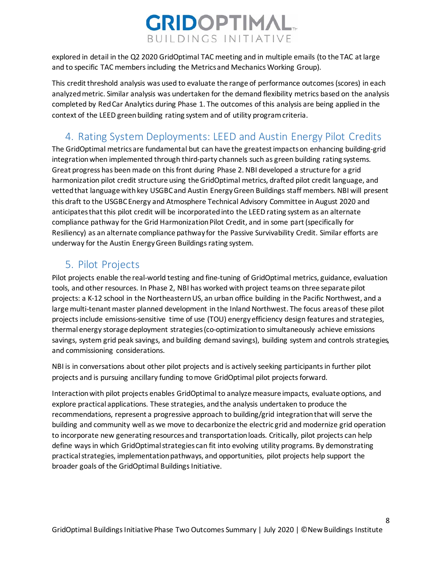## **GRIDOPTIMAL** BUILDINGS INITIATIVE

explored in detail in the Q2 2020 GridOptimal TAC meeting and in multiple emails (to the TAC at large and to specific TAC members including the Metrics and Mechanics Working Group).

This credit threshold analysis was used to evaluate the range of performance outcomes (scores) in each analyzed metric. Similar analysis was undertaken for the demand flexibility metrics based on the analysis completed by Red Car Analytics during Phase 1. The outcomes of this analysis are being applied in the context of the LEED green building rating system and of utility program criteria.

### <span id="page-7-0"></span>4. Rating System Deployments: LEED and Austin Energy Pilot Credits

The GridOptimal metrics are fundamental but can have the greatest impacts on enhancing building-grid integration when implemented through third-party channels such as green building rating systems. Great progress has been made on this front during Phase 2. NBI developed a structure for a grid harmonization pilot credit structure using the GridOptimal metrics, drafted pilot credit language, and vetted that language with key USGBC and Austin Energy Green Buildings staff members. NBI will present this draft to the USGBC Energy and Atmosphere Technical Advisory Committee in August 2020 and anticipates that this pilot credit will be incorporated into the LEED rating system as an alternate compliance pathway for the Grid Harmonization Pilot Credit, and in some part (specifically for Resiliency) as an alternate compliance pathway for the Passive Survivability Credit. Similar efforts are underway for the Austin EnergyGreen Buildings rating system.

### <span id="page-7-1"></span>5. Pilot Projects

Pilot projects enable the real-world testing and fine-tuning of GridOptimal metrics, guidance, evaluation tools, and other resources. In Phase 2, NBI has worked with project teams on three separate pilot projects: a K-12 school in the Northeastern US, an urban office building in the Pacific Northwest, and a large multi-tenant master planned development in the Inland Northwest. The focus areas of these pilot projects include emissions-sensitive time of use (TOU) energy efficiency design features and strategies, thermal energy storage deployment strategies (co-optimization to simultaneously achieve emissions savings, system grid peak savings, and building demand savings), building system and controls strategies, and commissioning considerations.

NBI is in conversations about other pilot projects and is actively seeking participants in further pilot projects and is pursuing ancillary funding to move GridOptimal pilot projects forward.

Interaction with pilot projects enables GridOptimal to analyze measure impacts, evaluate options, and explore practical applications. These strategies, and the analysis undertaken to produce the recommendations, represent a progressive approach to building/grid integration that will serve the building and community well as we move to decarbonize the electric grid and modernize grid operation to incorporate new generating resources and transportation loads. Critically, pilot projects can help define ways in which GridOptimal strategies can fit into evolving utility programs. By demonstrating practical strategies, implementation pathways, and opportunities, pilot projects help support the broader goals of the GridOptimal Buildings Initiative.